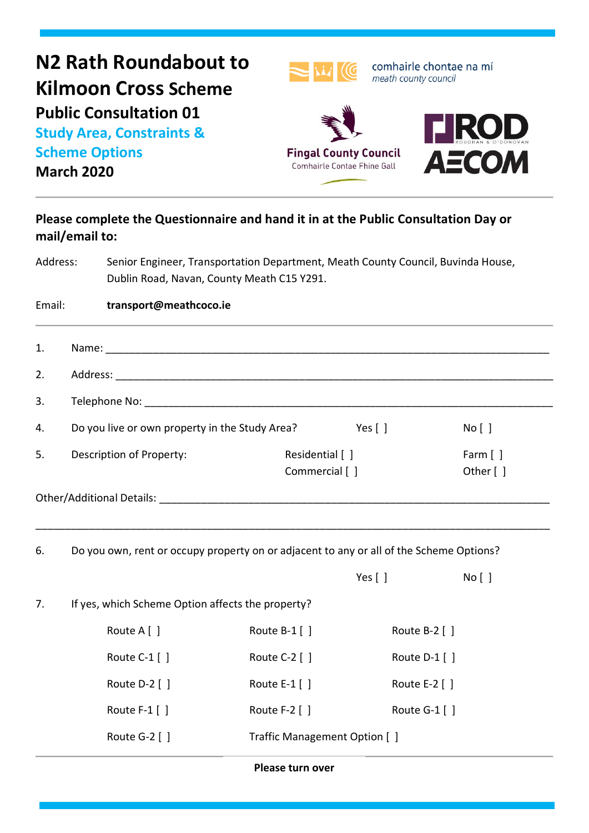| N2 Rath Roundabout to<br><b>Kilmoon Cross Scheme</b><br><b>Public Consultation 01</b><br><b>Study Area, Constraints &amp;</b><br><b>Scheme Options</b><br><b>March 2020</b> |                                                                                                      | <b>Fingal County Council</b><br>Comhairle Contae Fhine Gall                                                                    |                               | comhairle chontae na mí<br>meath county council<br><b>TIROD</b><br><b>AECOM</b> |  |  |
|-----------------------------------------------------------------------------------------------------------------------------------------------------------------------------|------------------------------------------------------------------------------------------------------|--------------------------------------------------------------------------------------------------------------------------------|-------------------------------|---------------------------------------------------------------------------------|--|--|
|                                                                                                                                                                             | Please complete the Questionnaire and hand it in at the Public Consultation Day or<br>mail/email to: |                                                                                                                                |                               |                                                                                 |  |  |
| Address:                                                                                                                                                                    |                                                                                                      | Senior Engineer, Transportation Department, Meath County Council, Buvinda House,<br>Dublin Road, Navan, County Meath C15 Y291. |                               |                                                                                 |  |  |
| Email:                                                                                                                                                                      | transport@meathcoco.ie                                                                               |                                                                                                                                |                               |                                                                                 |  |  |
| 1.                                                                                                                                                                          |                                                                                                      |                                                                                                                                |                               |                                                                                 |  |  |
| 2.                                                                                                                                                                          |                                                                                                      |                                                                                                                                |                               |                                                                                 |  |  |
| 3.                                                                                                                                                                          |                                                                                                      |                                                                                                                                |                               |                                                                                 |  |  |
| 4.                                                                                                                                                                          | Do you live or own property in the Study Area?                                                       |                                                                                                                                | Yes $\lceil \rceil$           | No [ ]                                                                          |  |  |
| 5.                                                                                                                                                                          | Description of Property:                                                                             | Residential [ ]<br>Commercial [ ]                                                                                              |                               | Farm $[ ]$<br>Other [ ]                                                         |  |  |
|                                                                                                                                                                             | Other/Additional Details:                                                                            |                                                                                                                                |                               |                                                                                 |  |  |
| 6.                                                                                                                                                                          |                                                                                                      | Do you own, rent or occupy property on or adjacent to any or all of the Scheme Options?                                        |                               |                                                                                 |  |  |
|                                                                                                                                                                             |                                                                                                      |                                                                                                                                | Yes $[ ]$                     | No [ ]                                                                          |  |  |
| 7.                                                                                                                                                                          | If yes, which Scheme Option affects the property?                                                    |                                                                                                                                |                               |                                                                                 |  |  |
|                                                                                                                                                                             | Route A [ ]                                                                                          | Route B-1 []                                                                                                                   |                               | Route B-2 []                                                                    |  |  |
|                                                                                                                                                                             | Route C-1 []                                                                                         | Route C-2 []                                                                                                                   |                               | Route D-1 []                                                                    |  |  |
|                                                                                                                                                                             | Route D-2 []                                                                                         | Route E-1 []                                                                                                                   |                               | Route E-2 [ ]                                                                   |  |  |
|                                                                                                                                                                             | Route F-1 []                                                                                         | Route F-2 []                                                                                                                   |                               | Route G-1 []                                                                    |  |  |
|                                                                                                                                                                             | Route G-2 []                                                                                         |                                                                                                                                | Traffic Management Option [ ] |                                                                                 |  |  |
| Please turn over                                                                                                                                                            |                                                                                                      |                                                                                                                                |                               |                                                                                 |  |  |